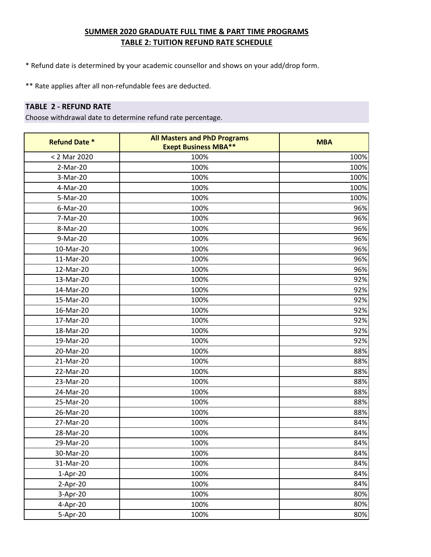- \* Refund date is determined by your academic counsellor and shows on your add/drop form.
- \*\* Rate applies after all non-refundable fees are deducted.

### **TABLE 2 - REFUND RATE**

| <b>Refund Date *</b> | <b>All Masters and PhD Programs</b><br><b>Exept Business MBA**</b> | <b>MBA</b> |
|----------------------|--------------------------------------------------------------------|------------|
| < 2 Mar 2020         | 100%                                                               | 100%       |
| 2-Mar-20             | 100%                                                               | 100%       |
| 3-Mar-20             | 100%                                                               | 100%       |
| 4-Mar-20             | 100%                                                               | 100%       |
| 5-Mar-20             | 100%                                                               | 100%       |
| $6-Mar-20$           | 100%                                                               | 96%        |
| 7-Mar-20             | 100%                                                               | 96%        |
| 8-Mar-20             | 100%                                                               | 96%        |
| 9-Mar-20             | 100%                                                               | 96%        |
| 10-Mar-20            | 100%                                                               | 96%        |
| 11-Mar-20            | 100%                                                               | 96%        |
| 12-Mar-20            | 100%                                                               | 96%        |
| 13-Mar-20            | 100%                                                               | 92%        |
| 14-Mar-20            | 100%                                                               | 92%        |
| 15-Mar-20            | 100%                                                               | 92%        |
| 16-Mar-20            | 100%                                                               | 92%        |
| 17-Mar-20            | 100%                                                               | 92%        |
| 18-Mar-20            | 100%                                                               | 92%        |
| 19-Mar-20            | 100%                                                               | 92%        |
| 20-Mar-20            | 100%                                                               | 88%        |
| 21-Mar-20            | 100%                                                               | 88%        |
| 22-Mar-20            | 100%                                                               | 88%        |
| 23-Mar-20            | 100%                                                               | 88%        |
| 24-Mar-20            | 100%                                                               | 88%        |
| 25-Mar-20            | 100%                                                               | 88%        |
| 26-Mar-20            | 100%                                                               | 88%        |
| 27-Mar-20            | 100%                                                               | 84%        |
| 28-Mar-20            | 100%                                                               | 84%        |
| 29-Mar-20            | 100%                                                               | 84%        |
| 30-Mar-20            | 100%                                                               | 84%        |
| 31-Mar-20            | 100%                                                               | 84%        |
| 1-Apr-20             | 100%                                                               | 84%        |
| 2-Apr-20             | 100%                                                               | 84%        |
| 3-Apr-20             | 100%                                                               | 80%        |
| 4-Apr-20             | 100%                                                               | 80%        |
| 5-Apr-20             | 100%                                                               | 80%        |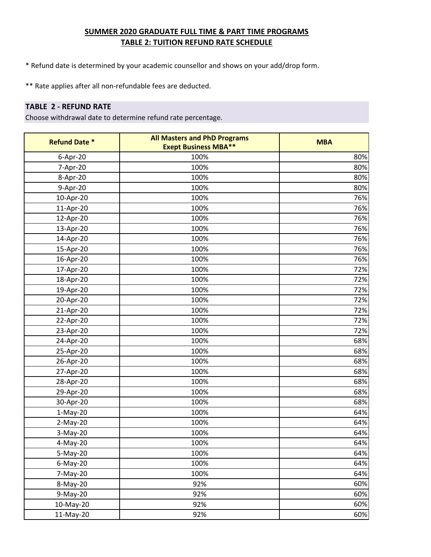- \* Refund date is determined by your academic counsellor and shows on your add/drop form.
- \*\* Rate applies after all non-refundable fees are deducted.

#### **TABLE 2 - REFUND RATE**

| <b>Refund Date *</b> | <b>All Masters and PhD Programs</b><br><b>Exept Business MBA**</b> | <b>MBA</b> |
|----------------------|--------------------------------------------------------------------|------------|
| 6-Apr-20             | 100%                                                               | 80%        |
| 7-Apr-20             | 100%                                                               | 80%        |
| 8-Apr-20             | 100%                                                               | 80%        |
| 9-Apr-20             | 100%                                                               | 80%        |
| 10-Apr-20            | 100%                                                               | 76%        |
| 11-Apr-20            | 100%                                                               | 76%        |
| 12-Apr-20            | 100%                                                               | 76%        |
| 13-Apr-20            | 100%                                                               | 76%        |
| 14-Apr-20            | 100%                                                               | 76%        |
| 15-Apr-20            | 100%                                                               | 76%        |
| 16-Apr-20            | 100%                                                               | 76%        |
| 17-Apr-20            | 100%                                                               | 72%        |
| 18-Apr-20            | 100%                                                               | 72%        |
| 19-Apr-20            | 100%                                                               | 72%        |
| 20-Apr-20            | 100%                                                               | 72%        |
| 21-Apr-20            | 100%                                                               | 72%        |
| 22-Apr-20            | 100%                                                               | 72%        |
| 23-Apr-20            | 100%                                                               | 72%        |
| 24-Apr-20            | 100%                                                               | 68%        |
| 25-Apr-20            | 100%                                                               | 68%        |
| 26-Apr-20            | 100%                                                               | 68%        |
| 27-Apr-20            | 100%                                                               | 68%        |
| 28-Apr-20            | 100%                                                               | 68%        |
| 29-Apr-20            | 100%                                                               | 68%        |
| 30-Apr-20            | 100%                                                               | 68%        |
| $1-May-20$           | 100%                                                               | 64%        |
| 2-May-20             | 100%                                                               | 64%        |
| 3-May-20             | 100%                                                               | 64%        |
| 4-May-20             | 100%                                                               | 64%        |
| 5-May-20             | 100%                                                               | 64%        |
| $6$ -May-20          | 100%                                                               | 64%        |
| 7-May-20             | 100%                                                               | 64%        |
| 8-May-20             | 92%                                                                | 60%        |
| 9-May-20             | 92%                                                                | 60%        |
| 10-May-20            | 92%                                                                | 60%        |
| 11-May-20            | 92%                                                                | 60%        |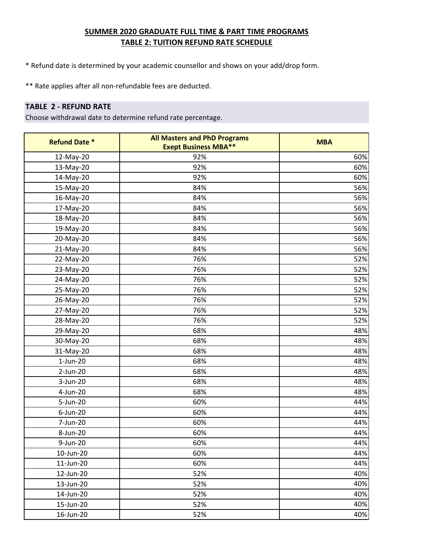- \* Refund date is determined by your academic counsellor and shows on your add/drop form.
- \*\* Rate applies after all non-refundable fees are deducted.

### **TABLE 2 - REFUND RATE**

| <b>Refund Date *</b> | <b>All Masters and PhD Programs</b><br><b>Exept Business MBA**</b> | <b>MBA</b> |
|----------------------|--------------------------------------------------------------------|------------|
| 12-May-20            | 92%                                                                | 60%        |
| 13-May-20            | 92%                                                                | 60%        |
| 14-May-20            | 92%                                                                | 60%        |
| 15-May-20            | 84%                                                                | 56%        |
| 16-May-20            | 84%                                                                | 56%        |
| 17-May-20            | 84%                                                                | 56%        |
| 18-May-20            | 84%                                                                | 56%        |
| 19-May-20            | 84%                                                                | 56%        |
| 20-May-20            | 84%                                                                | 56%        |
| 21-May-20            | 84%                                                                | 56%        |
| 22-May-20            | 76%                                                                | 52%        |
| 23-May-20            | 76%                                                                | 52%        |
| 24-May-20            | 76%                                                                | 52%        |
| 25-May-20            | 76%                                                                | 52%        |
| 26-May-20            | 76%                                                                | 52%        |
| 27-May-20            | 76%                                                                | 52%        |
| 28-May-20            | 76%                                                                | 52%        |
| 29-May-20            | 68%                                                                | 48%        |
| 30-May-20            | 68%                                                                | 48%        |
| 31-May-20            | 68%                                                                | 48%        |
| $1$ -Jun-20          | 68%                                                                | 48%        |
| 2-Jun-20             | 68%                                                                | 48%        |
| 3-Jun-20             | 68%                                                                | 48%        |
| 4-Jun-20             | 68%                                                                | 48%        |
| 5-Jun-20             | 60%                                                                | 44%        |
| $6$ -Jun-20          | 60%                                                                | 44%        |
| 7-Jun-20             | 60%                                                                | 44%        |
| 8-Jun-20             | 60%                                                                | 44%        |
| 9-Jun-20             | 60%                                                                | 44%        |
| 10-Jun-20            | 60%                                                                | 44%        |
| 11-Jun-20            | 60%                                                                | 44%        |
| 12-Jun-20            | 52%                                                                | 40%        |
| 13-Jun-20            | 52%                                                                | 40%        |
| 14-Jun-20            | 52%                                                                | 40%        |
| 15-Jun-20            | 52%                                                                | 40%        |
| 16-Jun-20            | 52%                                                                | 40%        |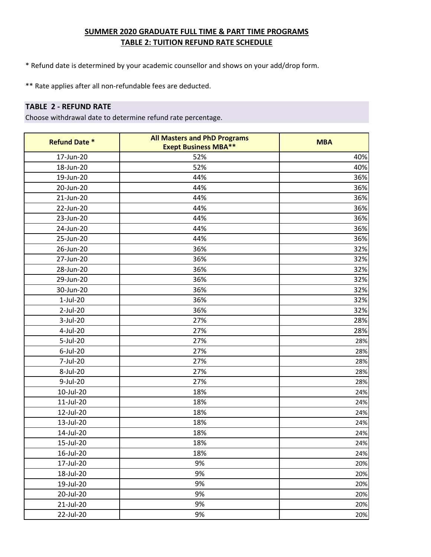- \* Refund date is determined by your academic counsellor and shows on your add/drop form.
- \*\* Rate applies after all non-refundable fees are deducted.

### **TABLE 2 - REFUND RATE**

| <b>Refund Date *</b> | <b>All Masters and PhD Programs</b><br><b>Exept Business MBA**</b> | <b>MBA</b> |
|----------------------|--------------------------------------------------------------------|------------|
| 17-Jun-20            | 52%                                                                | 40%        |
| 18-Jun-20            | 52%                                                                | 40%        |
| 19-Jun-20            | 44%                                                                | 36%        |
| 20-Jun-20            | 44%                                                                | 36%        |
| 21-Jun-20            | 44%                                                                | 36%        |
| 22-Jun-20            | 44%                                                                | 36%        |
| 23-Jun-20            | 44%                                                                | 36%        |
| 24-Jun-20            | 44%                                                                | 36%        |
| 25-Jun-20            | 44%                                                                | 36%        |
| 26-Jun-20            | 36%                                                                | 32%        |
| 27-Jun-20            | 36%                                                                | 32%        |
| 28-Jun-20            | 36%                                                                | 32%        |
| 29-Jun-20            | 36%                                                                | 32%        |
| 30-Jun-20            | 36%                                                                | 32%        |
| $1$ -Jul-20          | 36%                                                                | 32%        |
| 2-Jul-20             | 36%                                                                | 32%        |
| 3-Jul-20             | 27%                                                                | 28%        |
| 4-Jul-20             | 27%                                                                | 28%        |
| 5-Jul-20             | 27%                                                                | 28%        |
| 6-Jul-20             | 27%                                                                | 28%        |
| 7-Jul-20             | 27%                                                                | 28%        |
| 8-Jul-20             | 27%                                                                | 28%        |
| 9-Jul-20             | 27%                                                                | 28%        |
| 10-Jul-20            | 18%                                                                | 24%        |
| 11-Jul-20            | 18%                                                                | 24%        |
| 12-Jul-20            | 18%                                                                | 24%        |
| 13-Jul-20            | 18%                                                                | 24%        |
| 14-Jul-20            | 18%                                                                | 24%        |
| 15-Jul-20            | 18%                                                                | 24%        |
| 16-Jul-20            | 18%                                                                | 24%        |
| 17-Jul-20            | 9%                                                                 | 20%        |
| 18-Jul-20            | 9%                                                                 | 20%        |
| 19-Jul-20            | 9%                                                                 | 20%        |
| 20-Jul-20            | 9%                                                                 | 20%        |
| 21-Jul-20            | 9%                                                                 | 20%        |
| 22-Jul-20            | 9%                                                                 | 20%        |